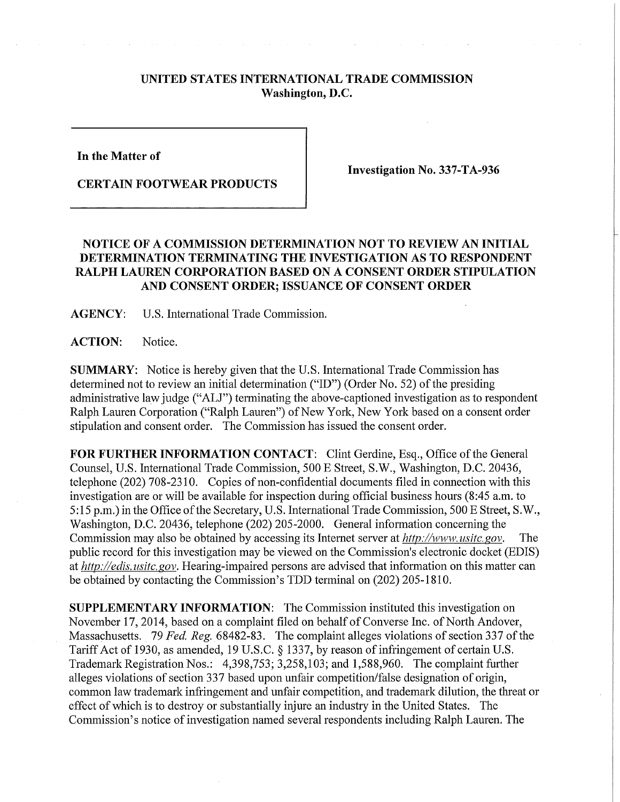## **UNITED STATES INTERNATIONAL TRADE COMMISSION Washington, D.C.**

**In the Matter of** 

**CERTAIN FOOTWEAR PRODUCTS** 

**Investigation No. 337-TA-936** 

## **NOTICE OF A COMMISSION DETERMINATION NOT TO REVIEW AN INITIAL DETERMINATION TERMINATING THE INVESTIGATION AS TO RESPONDENT RALPH LAUREN CORPORATION BASED ON A CONSENT ORDER STIPULATION AND CONSENT ORDER; ISSUANCE OF CONSENT ORDER**

**AGENCY:** U.S. International Trade Commission.

ACTION: Notice.

**SUMMARY:** Notice is hereby given that the U.S. International Trade Commission has determined not to review an initial determination ("ID") (Order No. 52) of the presiding administrative law judge ("ALJ") terminating the above-captioned investigation as to respondent Ralph Lauren Corporation ("Ralph Lauren") of New York, New York based on a consent order stipulation and consent order. The Commission has issued the consent order.

FOR FURTHER INFORMATION CONTACT: Clint Gerdine, Esq., Office of the General Counsel, U.S. International Trade Commission, 500 E Street, S.W., Washington, D.C. 20436, telephone (202) 708-2310. Copies of non-confidential documents filed in connection with this investigation are or will be available for inspection during official business hours (8:45 a.m. to 5:15 p.m.) in the Office of the Secretary, U.S. International Trade Commission, 500 E Street, S.W., Washington, D.C. 20436, telephone (202) 205-2000. General information concerning the Commission may also be obtained by accessing its Internet server at  $http://www.usitc.gov.$  The public record for this investigation may be viewed on the Commission's electronic docket (EDIS) *athttp://edis.usitc.gov.* Hearing-impaired persons are advised that information on this matter can be obtained by contacting the Commission's TDD terminal on (202) 205-1810.

**SUPPLEMENTARY INFORMATION:** The Commission instituted this investigation on November 17, 2014, based on a complaint filed on behalf of Converse Inc. of North Andover, Massachusetts. 79 *Fed. Reg.* 68482-83. The complaint alleges violations of section 337 of the Tariff Act of 1930, as amended, 19 U.S.C. § 1337, by reason of infringement of certain U.S. Trademark Registration Nos.: 4,398,753; 3,258,103; and 1,588,960. The complaint further alleges violations of section 337 based upon unfair competition/false designation of origin, common law trademark infringement and unfair competition, and trademark dilution, the threat or effect of which is to destroy or substantially injure an industry in the United States. The Commission's notice of investigation named several respondents including Ralph Lauren. The